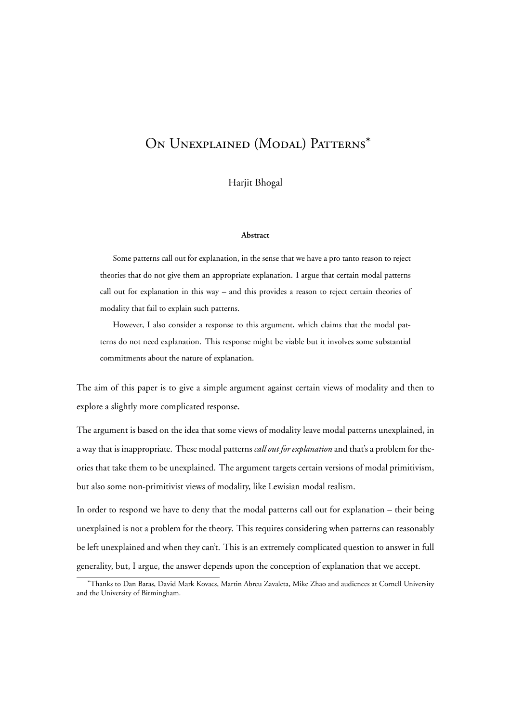# On Unexplained (Modal) Patterns\*

Harjit Bhogal

#### **Abstract**

Some patterns call out for explanation, in the sense that we have a pro tanto reason to reject theories that do not give them an appropriate explanation. I argue that certain modal patterns call out for explanation in this way – and this provides a reason to reject certain theories of modality that fail to explain such patterns.

However, I also consider a response to this argument, which claims that the modal patterns do not need explanation. This response might be viable but it involves some substantial commitments about the nature of explanation.

The aim of this paper is to give a simple argument against certain views of modality and then to explore a slightly more complicated response.

The argument is based on the idea that some views of modality leave modal patterns unexplained, in a way that is inappropriate. These modal patterns *call out for explanation* and that's a problem for theories that take them to be unexplained. The argument targets certain versions of modal primitivism, but also some non-primitivist views of modality, like Lewisian modal realism.

In order to respond we have to deny that the modal patterns call out for explanation – their being unexplained is not a problem for the theory. This requires considering when patterns can reasonably be left unexplained and when they can't. This is an extremely complicated question to answer in full generality, but, I argue, the answer depends upon the conception of explanation that we accept.

<sup>\*</sup>Thanks to Dan Baras, David Mark Kovacs, Martin Abreu Zavaleta, Mike Zhao and audiences at Cornell University and the University of Birmingham.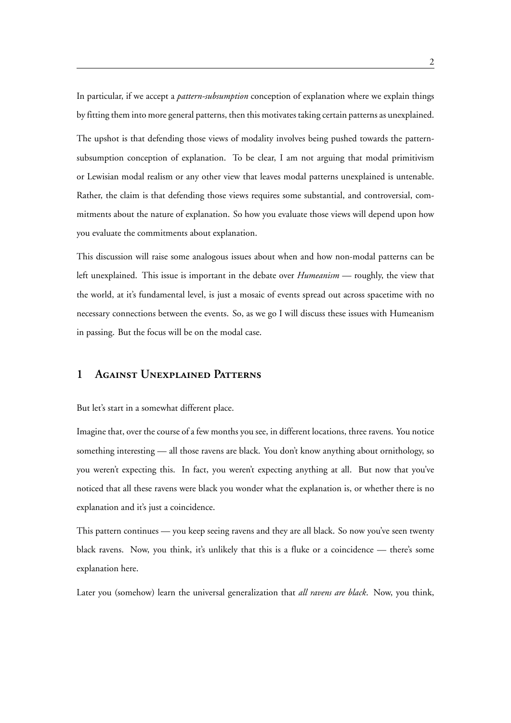In particular, if we accept a *pattern-subsumption* conception of explanation where we explain things by fitting them into more general patterns, then this motivates taking certain patterns as unexplained.

The upshot is that defending those views of modality involves being pushed towards the patternsubsumption conception of explanation. To be clear, I am not arguing that modal primitivism or Lewisian modal realism or any other view that leaves modal patterns unexplained is untenable. Rather, the claim is that defending those views requires some substantial, and controversial, commitments about the nature of explanation. So how you evaluate those views will depend upon how you evaluate the commitments about explanation.

This discussion will raise some analogous issues about when and how non-modal patterns can be left unexplained. This issue is important in the debate over *Humeanism* — roughly, the view that the world, at it's fundamental level, is just a mosaic of events spread out across spacetime with no necessary connections between the events. So, as we go I will discuss these issues with Humeanism in passing. But the focus will be on the modal case.

# **1 Against Unexplained Patterns**

But let's start in a somewhat different place.

Imagine that, over the course of a few months you see, in different locations, three ravens. You notice something interesting — all those ravens are black. You don't know anything about ornithology, so you weren't expecting this. In fact, you weren't expecting anything at all. But now that you've noticed that all these ravens were black you wonder what the explanation is, or whether there is no explanation and it's just a coincidence.

This pattern continues — you keep seeing ravens and they are all black. So now you've seen twenty black ravens. Now, you think, it's unlikely that this is a fluke or a coincidence — there's some explanation here.

Later you (somehow) learn the universal generalization that *all ravens are black*. Now, you think,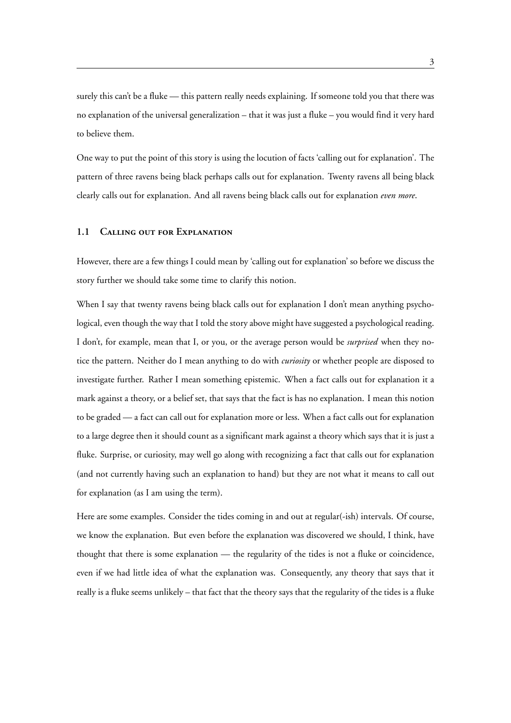surely this can't be a fluke — this pattern really needs explaining. If someone told you that there was no explanation of the universal generalization – that it was just a fluke – you would find it very hard to believe them.

One way to put the point of this story is using the locution of facts 'calling out for explanation'. The pattern of three ravens being black perhaps calls out for explanation. Twenty ravens all being black clearly calls out for explanation. And all ravens being black calls out for explanation *even more*.

### **1.1 Calling out for Explanation**

However, there are a few things I could mean by 'calling out for explanation' so before we discuss the story further we should take some time to clarify this notion.

When I say that twenty ravens being black calls out for explanation I don't mean anything psychological, even though the way that I told the story above might have suggested a psychological reading. I don't, for example, mean that I, or you, or the average person would be *surprised* when they notice the pattern. Neither do I mean anything to do with *curiosity* or whether people are disposed to investigate further. Rather I mean something epistemic. When a fact calls out for explanation it a mark against a theory, or a belief set, that says that the fact is has no explanation. I mean this notion to be graded — a fact can call out for explanation more or less. When a fact calls out for explanation to a large degree then it should count as a significant mark against a theory which says that it is just a fluke. Surprise, or curiosity, may well go along with recognizing a fact that calls out for explanation (and not currently having such an explanation to hand) but they are not what it means to call out for explanation (as I am using the term).

Here are some examples. Consider the tides coming in and out at regular(-ish) intervals. Of course, we know the explanation. But even before the explanation was discovered we should, I think, have thought that there is some explanation — the regularity of the tides is not a fluke or coincidence, even if we had little idea of what the explanation was. Consequently, any theory that says that it really is a fluke seems unlikely – that fact that the theory says that the regularity of the tides is a fluke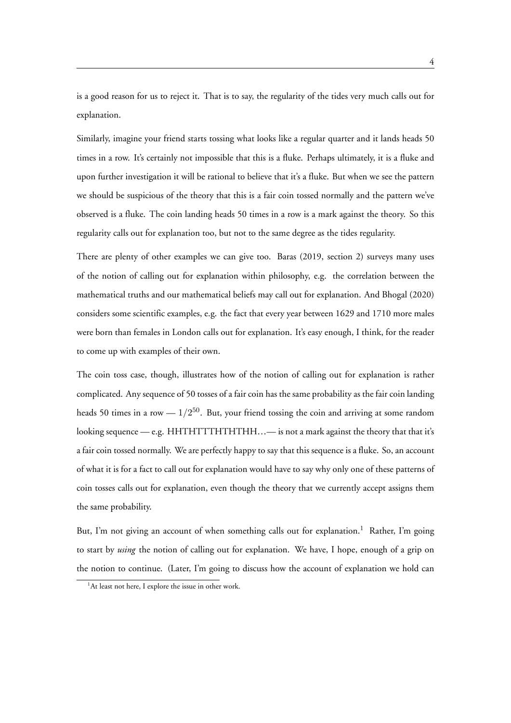is a good reason for us to reject it. That is to say, the regularity of the tides very much calls out for explanation.

Similarly, imagine your friend starts tossing what looks like a regular quarter and it lands heads 50 times in a row. It's certainly not impossible that this is a fluke. Perhaps ultimately, it is a fluke and upon further investigation it will be rational to believe that it's a fluke. But when we see the pattern we should be suspicious of the theory that this is a fair coin tossed normally and the pattern we've observed is a fluke. The coin landing heads 50 times in a row is a mark against the theory. So this regularity calls out for explanation too, but not to the same degree as the tides regularity.

There are plenty of other examples we can give too. Baras (2019, section 2) surveys many uses of the notion of calling out for explanation within philosophy, e.g. the correlation between the mathematical truths and our mathematical beliefs may call out for explanation. And Bhogal (2020) considers some scientific examples, e.g. the fact that every year between 1629 and 1710 more males were born than females in London calls out for explanation. It's easy enough, I think, for the reader to come up with examples of their own.

The coin toss case, though, illustrates how of the notion of calling out for explanation is rather complicated. Any sequence of 50 tosses of a fair coin has the same probability as the fair coin landing heads 50 times in a row  $-1/2^{50}$ . But, your friend tossing the coin and arriving at some random looking sequence — e.g. HHTHTTTHTHTHH...— is not a mark against the theory that that it's a fair coin tossed normally. We are perfectly happy to say that this sequence is a fluke. So, an account of what it is for a fact to call out for explanation would have to say why only one of these patterns of coin tosses calls out for explanation, even though the theory that we currently accept assigns them the same probability.

But, I'm not giving an account of when something calls out for explanation.<sup>1</sup> Rather, I'm going to start by *using* the notion of calling out for explanation. We have, I hope, enough of a grip on the notion to continue. (Later, I'm going to discuss how the account of explanation we hold can

<sup>&</sup>lt;sup>1</sup>At least not here, I explore the issue in other work.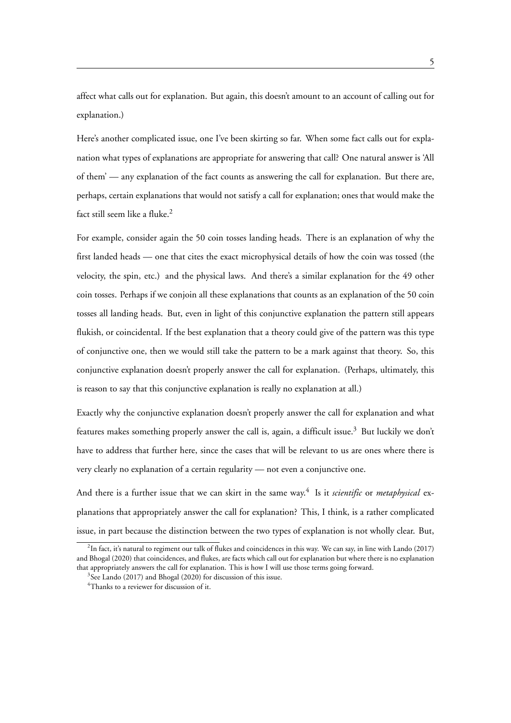affect what calls out for explanation. But again, this doesn't amount to an account of calling out for explanation.)

Here's another complicated issue, one I've been skirting so far. When some fact calls out for explanation what types of explanations are appropriate for answering that call? One natural answer is 'All of them' — any explanation of the fact counts as answering the call for explanation. But there are, perhaps, certain explanations that would not satisfy a call for explanation; ones that would make the fact still seem like a fluke.<sup>2</sup>

For example, consider again the 50 coin tosses landing heads. There is an explanation of why the first landed heads — one that cites the exact microphysical details of how the coin was tossed (the velocity, the spin, etc.) and the physical laws. And there's a similar explanation for the 49 other coin tosses. Perhaps if we conjoin all these explanations that counts as an explanation of the 50 coin tosses all landing heads. But, even in light of this conjunctive explanation the pattern still appears flukish, or coincidental. If the best explanation that a theory could give of the pattern was this type of conjunctive one, then we would still take the pattern to be a mark against that theory. So, this conjunctive explanation doesn't properly answer the call for explanation. (Perhaps, ultimately, this is reason to say that this conjunctive explanation is really no explanation at all.)

Exactly why the conjunctive explanation doesn't properly answer the call for explanation and what features makes something properly answer the call is, again, a difficult issue.<sup>3</sup> But luckily we don't have to address that further here, since the cases that will be relevant to us are ones where there is very clearly no explanation of a certain regularity — not even a conjunctive one.

And there is a further issue that we can skirt in the same way.<sup>4</sup> Is it *scientific* or *metaphysical* explanations that appropriately answer the call for explanation? This, I think, is a rather complicated issue, in part because the distinction between the two types of explanation is not wholly clear. But,

 $^2$ In fact, it's natural to regiment our talk of flukes and coincidences in this way. We can say, in line with Lando (2017) and Bhogal (2020) that coincidences, and flukes, are facts which call out for explanation but where there is no explanation that appropriately answers the call for explanation. This is how I will use those terms going forward.

<sup>&</sup>lt;sup>3</sup>See Lando (2017) and Bhogal (2020) for discussion of this issue.

<sup>&</sup>lt;sup>4</sup>Thanks to a reviewer for discussion of it.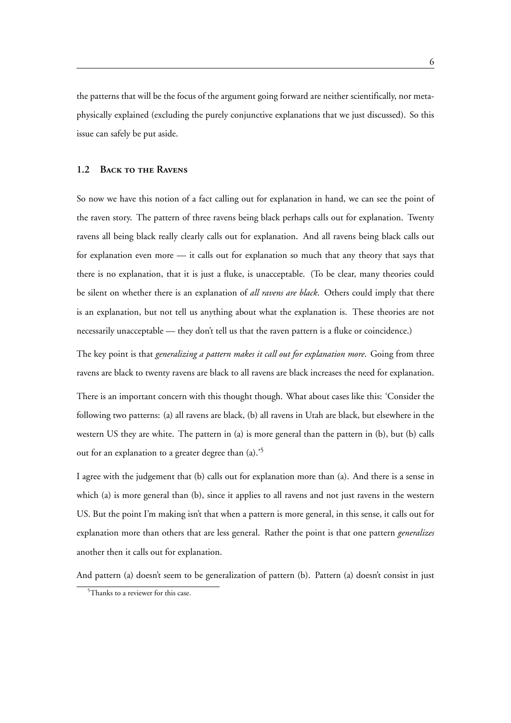the patterns that will be the focus of the argument going forward are neither scientifically, nor metaphysically explained (excluding the purely conjunctive explanations that we just discussed). So this issue can safely be put aside.

#### **1.2 Back to the Ravens**

So now we have this notion of a fact calling out for explanation in hand, we can see the point of the raven story. The pattern of three ravens being black perhaps calls out for explanation. Twenty ravens all being black really clearly calls out for explanation. And all ravens being black calls out for explanation even more — it calls out for explanation so much that any theory that says that there is no explanation, that it is just a fluke, is unacceptable. (To be clear, many theories could be silent on whether there is an explanation of *all ravens are black*. Others could imply that there is an explanation, but not tell us anything about what the explanation is. These theories are not necessarily unacceptable — they don't tell us that the raven pattern is a fluke or coincidence.)

The key point is that *generalizing a pattern makes it call out for explanation more*. Going from three ravens are black to twenty ravens are black to all ravens are black increases the need for explanation.

There is an important concern with this thought though. What about cases like this: 'Consider the following two patterns: (a) all ravens are black, (b) all ravens in Utah are black, but elsewhere in the western US they are white. The pattern in (a) is more general than the pattern in (b), but (b) calls out for an explanation to a greater degree than (a).'<sup>5</sup>

I agree with the judgement that (b) calls out for explanation more than (a). And there is a sense in which (a) is more general than (b), since it applies to all ravens and not just ravens in the western US. But the point I'm making isn't that when a pattern is more general, in this sense, it calls out for explanation more than others that are less general. Rather the point is that one pattern *generalizes* another then it calls out for explanation.

And pattern (a) doesn't seem to be generalization of pattern (b). Pattern (a) doesn't consist in just

<sup>&</sup>lt;sup>5</sup>Thanks to a reviewer for this case.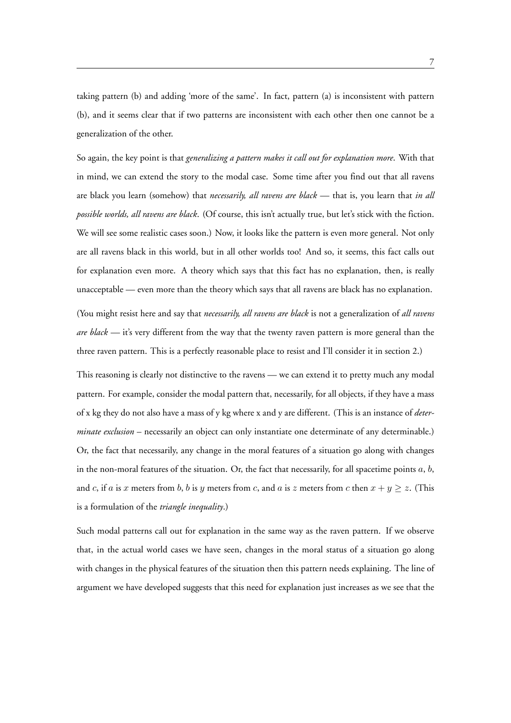taking pattern (b) and adding 'more of the same'. In fact, pattern (a) is inconsistent with pattern (b), and it seems clear that if two patterns are inconsistent with each other then one cannot be a generalization of the other.

So again, the key point is that *generalizing a pattern makes it call out for explanation more*. With that in mind, we can extend the story to the modal case. Some time after you find out that all ravens are black you learn (somehow) that *necessarily, all ravens are black* — that is, you learn that *in all possible worlds, all ravens are black*. (Of course, this isn't actually true, but let's stick with the fiction. We will see some realistic cases soon.) Now, it looks like the pattern is even more general. Not only are all ravens black in this world, but in all other worlds too! And so, it seems, this fact calls out for explanation even more. A theory which says that this fact has no explanation, then, is really unacceptable — even more than the theory which says that all ravens are black has no explanation.

(You might resist here and say that *necessarily, all ravens are black* is not a generalization of *all ravens are black* — it's very different from the way that the twenty raven pattern is more general than the three raven pattern. This is a perfectly reasonable place to resist and I'll consider it in section 2.)

This reasoning is clearly not distinctive to the ravens — we can extend it to pretty much any modal pattern. For example, consider the modal pattern that, necessarily, for all objects, if they have a mass of x kg they do not also have a mass of y kg where x and y are different. (This is an instance of *determinate exclusion* – necessarily an object can only instantiate one determinate of any determinable.) Or, the fact that necessarily, any change in the moral features of a situation go along with changes in the non-moral features of the situation. Or, the fact that necessarily, for all spacetime points *a*, *b*, and *c*, if *a* is *x* meters from *b*, *b* is *y* meters from *c*, and *a* is *z* meters from *c* then  $x + y \ge z$ . (This is a formulation of the *triangle inequality*.)

Such modal patterns call out for explanation in the same way as the raven pattern. If we observe that, in the actual world cases we have seen, changes in the moral status of a situation go along with changes in the physical features of the situation then this pattern needs explaining. The line of argument we have developed suggests that this need for explanation just increases as we see that the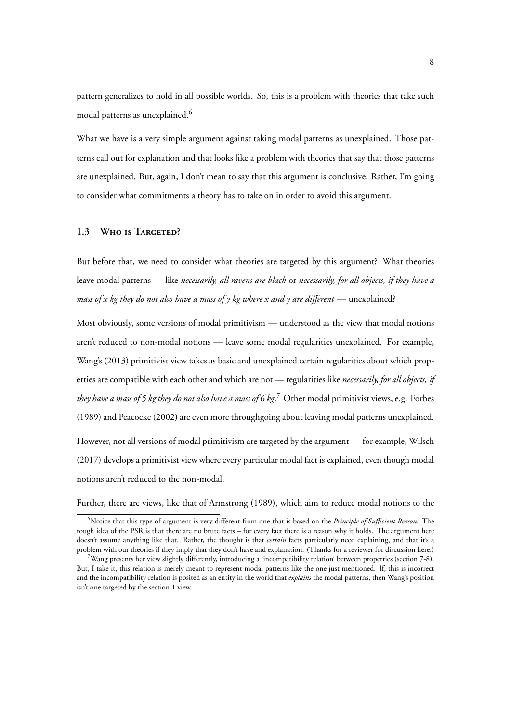pattern generalizes to hold in all possible worlds. So, this is a problem with theories that take such modal patterns as unexplained.<sup>6</sup>

What we have is a very simple argument against taking modal patterns as unexplained. Those patterns call out for explanation and that looks like a problem with theories that say that those patterns are unexplained. But, again, I don't mean to say that this argument is conclusive. Rather, I'm going to consider what commitments a theory has to take on in order to avoid this argument.

### **1.3 Who is Targeted?**

But before that, we need to consider what theories are targeted by this argument? What theories leave modal patterns — like *necessarily, all ravens are black* or *necessarily, for all objects, if they have a mass of x kg they do not also have a mass of y kg where x and y are different* — unexplained?

Most obviously, some versions of modal primitivism — understood as the view that modal notions aren't reduced to non-modal notions — leave some modal regularities unexplained. For example, Wang's (2013) primitivist view takes as basic and unexplained certain regularities about which properties are compatible with each other and which are not — regularities like *necessarily, for all objects, if they have a mass of 5 kg they do not also have a mass of 6 kg*. <sup>7</sup> Other modal primitivist views, e.g. Forbes (1989) and Peacocke (2002) are even more throughgoing about leaving modal patterns unexplained. However, not all versions of modal primitivism are targeted by the argument — for example, Wilsch (2017) develops a primitivist view where every particular modal fact is explained, even though modal notions aren't reduced to the non-modal.

Further, there are views, like that of Armstrong (1989), which aim to reduce modal notions to the

<sup>6</sup>Notice that this type of argument is very different from one that is based on the *Principle of Sufficient Reason*. The rough idea of the PSR is that there are no brute facts – for every fact there is a reason why it holds. The argument here doesn't assume anything like that. Rather, the thought is that *certain* facts particularly need explaining, and that it's a problem with our theories if they imply that they don't have and explanation. (Thanks for a reviewer for discussion here.)

<sup>7</sup>Wang presents her view slightly differently, introducing a 'incompatibility relation' between properties (section 7-8). But, I take it, this relation is merely meant to represent modal patterns like the one just mentioned. If, this is incorrect and the incompatibility relation is posited as an entity in the world that *explains* the modal patterns, then Wang's position isn't one targeted by the section 1 view.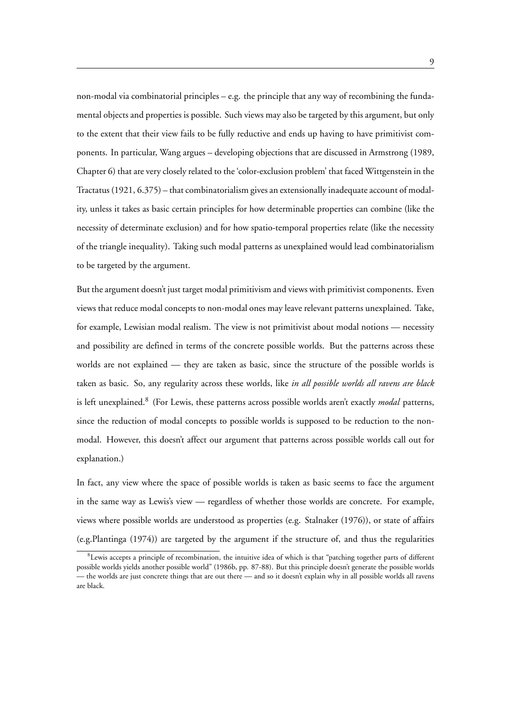non-modal via combinatorial principles – e.g. the principle that any way of recombining the fundamental objects and properties is possible. Such views may also be targeted by this argument, but only to the extent that their view fails to be fully reductive and ends up having to have primitivist components. In particular, Wang argues – developing objections that are discussed in Armstrong (1989, Chapter 6) that are very closely related to the 'color-exclusion problem' that faced Wittgenstein in the Tractatus (1921, 6.375) – that combinatorialism gives an extensionally inadequate account of modality, unless it takes as basic certain principles for how determinable properties can combine (like the necessity of determinate exclusion) and for how spatio-temporal properties relate (like the necessity of the triangle inequality). Taking such modal patterns as unexplained would lead combinatorialism to be targeted by the argument.

But the argument doesn't just target modal primitivism and views with primitivist components. Even views that reduce modal concepts to non-modal ones may leave relevant patterns unexplained. Take, for example, Lewisian modal realism. The view is not primitivist about modal notions — necessity and possibility are defined in terms of the concrete possible worlds. But the patterns across these worlds are not explained — they are taken as basic, since the structure of the possible worlds is taken as basic. So, any regularity across these worlds, like *in all possible worlds all ravens are black* is left unexplained.<sup>8</sup> (For Lewis, these patterns across possible worlds aren't exactly *modal* patterns, since the reduction of modal concepts to possible worlds is supposed to be reduction to the nonmodal. However, this doesn't affect our argument that patterns across possible worlds call out for explanation.)

In fact, any view where the space of possible worlds is taken as basic seems to face the argument in the same way as Lewis's view — regardless of whether those worlds are concrete. For example, views where possible worlds are understood as properties (e.g. Stalnaker (1976)), or state of affairs (e.g.Plantinga (1974)) are targeted by the argument if the structure of, and thus the regularities

<sup>8</sup> Lewis accepts a principle of recombination, the intuitive idea of which is that "patching together parts of different possible worlds yields another possible world" (1986b, pp. 87-88). But this principle doesn't generate the possible worlds — the worlds are just concrete things that are out there — and so it doesn't explain why in all possible worlds all ravens are black.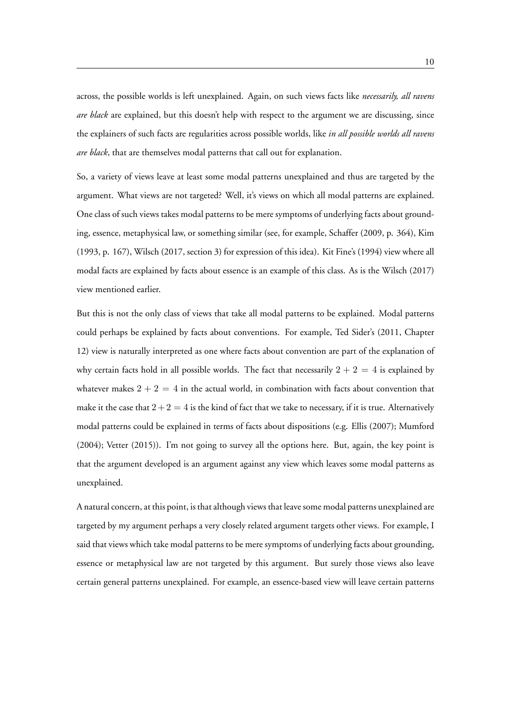across, the possible worlds is left unexplained. Again, on such views facts like *necessarily, all ravens are black* are explained, but this doesn't help with respect to the argument we are discussing, since the explainers of such facts are regularities across possible worlds, like *in all possible worlds all ravens are black*, that are themselves modal patterns that call out for explanation.

So, a variety of views leave at least some modal patterns unexplained and thus are targeted by the argument. What views are not targeted? Well, it's views on which all modal patterns are explained. One class of such views takes modal patterns to be mere symptoms of underlying facts about grounding, essence, metaphysical law, or something similar (see, for example, Schaffer (2009, p. 364), Kim (1993, p. 167), Wilsch (2017, section 3) for expression of this idea). Kit Fine's (1994) view where all modal facts are explained by facts about essence is an example of this class. As is the Wilsch (2017) view mentioned earlier.

But this is not the only class of views that take all modal patterns to be explained. Modal patterns could perhaps be explained by facts about conventions. For example, Ted Sider's (2011, Chapter 12) view is naturally interpreted as one where facts about convention are part of the explanation of why certain facts hold in all possible worlds. The fact that necessarily  $2 + 2 = 4$  is explained by whatever makes  $2 + 2 = 4$  in the actual world, in combination with facts about convention that make it the case that  $2+2=4$  is the kind of fact that we take to necessary, if it is true. Alternatively modal patterns could be explained in terms of facts about dispositions (e.g. Ellis (2007); Mumford (2004); Vetter (2015)). I'm not going to survey all the options here. But, again, the key point is that the argument developed is an argument against any view which leaves some modal patterns as unexplained.

A natural concern, at this point, is that although views that leave some modal patterns unexplained are targeted by my argument perhaps a very closely related argument targets other views. For example, I said that views which take modal patterns to be mere symptoms of underlying facts about grounding, essence or metaphysical law are not targeted by this argument. But surely those views also leave certain general patterns unexplained. For example, an essence-based view will leave certain patterns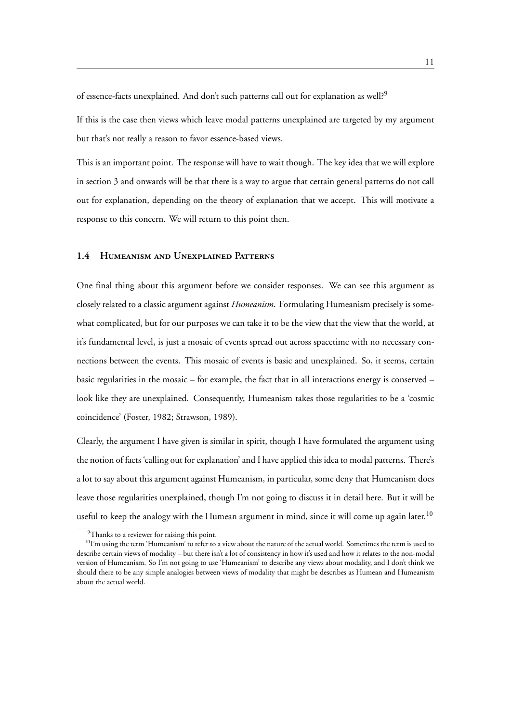of essence-facts unexplained. And don't such patterns call out for explanation as well?<sup>9</sup>

If this is the case then views which leave modal patterns unexplained are targeted by my argument but that's not really a reason to favor essence-based views.

This is an important point. The response will have to wait though. The key idea that we will explore in section 3 and onwards will be that there is a way to argue that certain general patterns do not call out for explanation, depending on the theory of explanation that we accept. This will motivate a response to this concern. We will return to this point then.

#### **1.4 Humeanism and Unexplained Patterns**

One final thing about this argument before we consider responses. We can see this argument as closely related to a classic argument against *Humeanism*. Formulating Humeanism precisely is somewhat complicated, but for our purposes we can take it to be the view that the view that the world, at it's fundamental level, is just a mosaic of events spread out across spacetime with no necessary connections between the events. This mosaic of events is basic and unexplained. So, it seems, certain basic regularities in the mosaic – for example, the fact that in all interactions energy is conserved – look like they are unexplained. Consequently, Humeanism takes those regularities to be a 'cosmic coincidence' (Foster, 1982; Strawson, 1989).

Clearly, the argument I have given is similar in spirit, though I have formulated the argument using the notion of facts 'calling out for explanation' and I have applied this idea to modal patterns. There's a lot to say about this argument against Humeanism, in particular, some deny that Humeanism does leave those regularities unexplained, though I'm not going to discuss it in detail here. But it will be useful to keep the analogy with the Humean argument in mind, since it will come up again later.<sup>10</sup>

<sup>&</sup>lt;sup>9</sup>Thanks to a reviewer for raising this point.

<sup>&</sup>lt;sup>10</sup>I'm using the term 'Humeanism' to refer to a view about the nature of the actual world. Sometimes the term is used to describe certain views of modality – but there isn't a lot of consistency in how it's used and how it relates to the non-modal version of Humeanism. So I'm not going to use 'Humeanism' to describe any views about modality, and I don't think we should there to be any simple analogies between views of modality that might be describes as Humean and Humeanism about the actual world.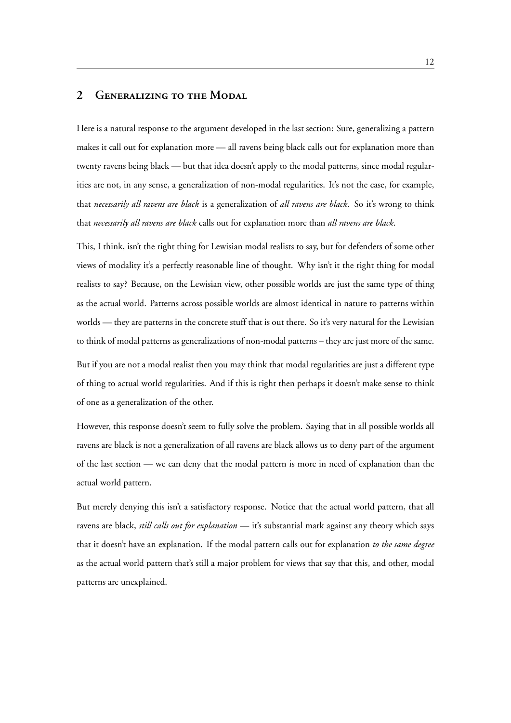# **2 Generalizing to the Modal**

Here is a natural response to the argument developed in the last section: Sure, generalizing a pattern makes it call out for explanation more — all ravens being black calls out for explanation more than twenty ravens being black — but that idea doesn't apply to the modal patterns, since modal regularities are not, in any sense, a generalization of non-modal regularities. It's not the case, for example, that *necessarily all ravens are black* is a generalization of *all ravens are black*. So it's wrong to think that *necessarily all ravens are black* calls out for explanation more than *all ravens are black*.

This, I think, isn't the right thing for Lewisian modal realists to say, but for defenders of some other views of modality it's a perfectly reasonable line of thought. Why isn't it the right thing for modal realists to say? Because, on the Lewisian view, other possible worlds are just the same type of thing as the actual world. Patterns across possible worlds are almost identical in nature to patterns within worlds — they are patterns in the concrete stuff that is out there. So it's very natural for the Lewisian to think of modal patterns as generalizations of non-modal patterns – they are just more of the same. But if you are not a modal realist then you may think that modal regularities are just a different type of thing to actual world regularities. And if this is right then perhaps it doesn't make sense to think

of one as a generalization of the other.

However, this response doesn't seem to fully solve the problem. Saying that in all possible worlds all ravens are black is not a generalization of all ravens are black allows us to deny part of the argument of the last section — we can deny that the modal pattern is more in need of explanation than the actual world pattern.

But merely denying this isn't a satisfactory response. Notice that the actual world pattern, that all ravens are black, *still calls out for explanation* — it's substantial mark against any theory which says that it doesn't have an explanation. If the modal pattern calls out for explanation *to the same degree* as the actual world pattern that's still a major problem for views that say that this, and other, modal patterns are unexplained.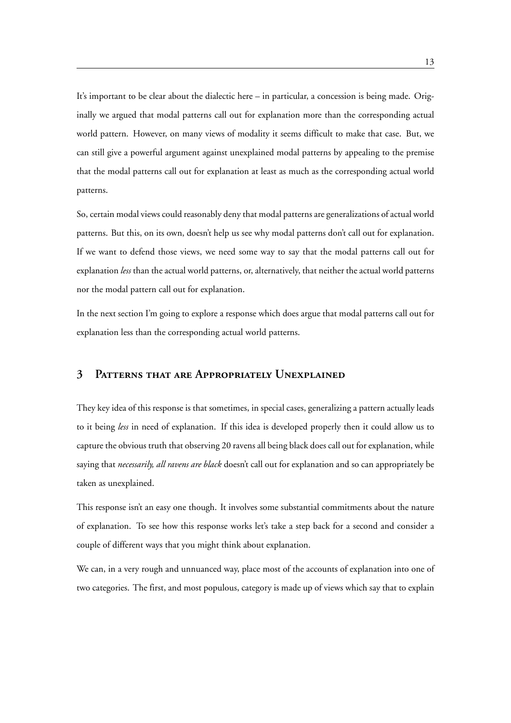It's important to be clear about the dialectic here – in particular, a concession is being made. Originally we argued that modal patterns call out for explanation more than the corresponding actual world pattern. However, on many views of modality it seems difficult to make that case. But, we can still give a powerful argument against unexplained modal patterns by appealing to the premise that the modal patterns call out for explanation at least as much as the corresponding actual world patterns.

So, certain modal views could reasonably deny that modal patterns are generalizations of actual world patterns. But this, on its own, doesn't help us see why modal patterns don't call out for explanation. If we want to defend those views, we need some way to say that the modal patterns call out for explanation *less* than the actual world patterns, or, alternatively, that neither the actual world patterns nor the modal pattern call out for explanation.

In the next section I'm going to explore a response which does argue that modal patterns call out for explanation less than the corresponding actual world patterns.

## **3 Patterns that are Appropriately Unexplained**

They key idea of this response is that sometimes, in special cases, generalizing a pattern actually leads to it being *less* in need of explanation. If this idea is developed properly then it could allow us to capture the obvious truth that observing 20 ravens all being black does call out for explanation, while saying that *necessarily, all ravens are black* doesn't call out for explanation and so can appropriately be taken as unexplained.

This response isn't an easy one though. It involves some substantial commitments about the nature of explanation. To see how this response works let's take a step back for a second and consider a couple of different ways that you might think about explanation.

We can, in a very rough and unnuanced way, place most of the accounts of explanation into one of two categories. The first, and most populous, category is made up of views which say that to explain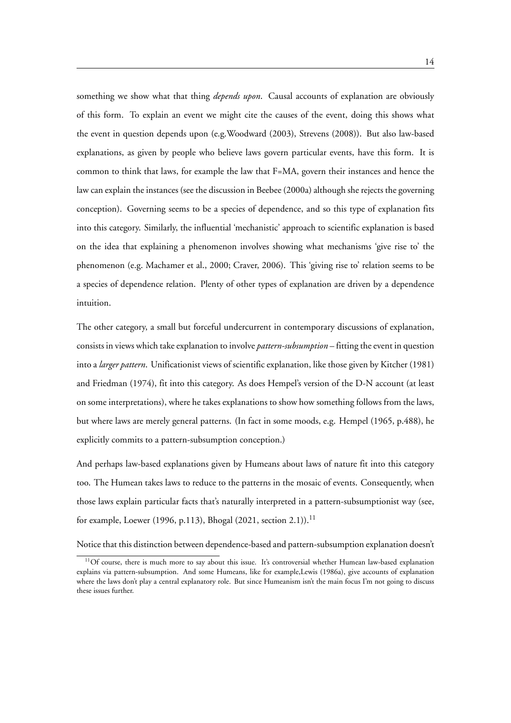something we show what that thing *depends upon*. Causal accounts of explanation are obviously of this form. To explain an event we might cite the causes of the event, doing this shows what the event in question depends upon (e.g.Woodward (2003), Strevens (2008)). But also law-based explanations, as given by people who believe laws govern particular events, have this form. It is common to think that laws, for example the law that F=MA, govern their instances and hence the law can explain the instances (see the discussion in Beebee (2000a) although she rejects the governing conception). Governing seems to be a species of dependence, and so this type of explanation fits into this category. Similarly, the influential 'mechanistic' approach to scientific explanation is based on the idea that explaining a phenomenon involves showing what mechanisms 'give rise to' the phenomenon (e.g. Machamer et al., 2000; Craver, 2006). This 'giving rise to' relation seems to be a species of dependence relation. Plenty of other types of explanation are driven by a dependence intuition.

The other category, a small but forceful undercurrent in contemporary discussions of explanation, consists in views which take explanation to involve *pattern-subsumption* – fitting the event in question into a *larger pattern*. Unificationist views of scientific explanation, like those given by Kitcher (1981) and Friedman (1974), fit into this category. As does Hempel's version of the D-N account (at least on some interpretations), where he takes explanations to show how something follows from the laws, but where laws are merely general patterns. (In fact in some moods, e.g. Hempel (1965, p.488), he explicitly commits to a pattern-subsumption conception.)

And perhaps law-based explanations given by Humeans about laws of nature fit into this category too. The Humean takes laws to reduce to the patterns in the mosaic of events. Consequently, when those laws explain particular facts that's naturally interpreted in a pattern-subsumptionist way (see, for example, Loewer (1996, p.113), Bhogal (2021, section 2.1)).<sup>11</sup>

Notice that this distinction between dependence-based and pattern-subsumption explanation doesn't

 $11$ Of course, there is much more to say about this issue. It's controversial whether Humean law-based explanation explains via pattern-subsumption. And some Humeans, like for example,Lewis (1986a), give accounts of explanation where the laws don't play a central explanatory role. But since Humeanism isn't the main focus I'm not going to discuss these issues further.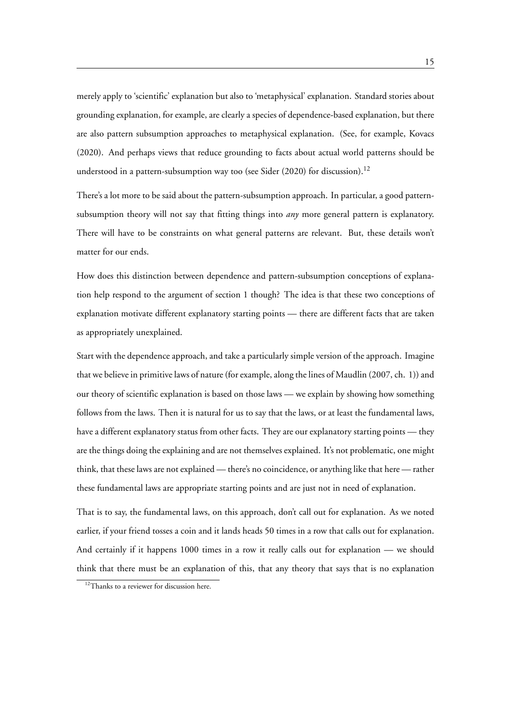merely apply to 'scientific' explanation but also to 'metaphysical' explanation. Standard stories about grounding explanation, for example, are clearly a species of dependence-based explanation, but there are also pattern subsumption approaches to metaphysical explanation. (See, for example, Kovacs (2020). And perhaps views that reduce grounding to facts about actual world patterns should be understood in a pattern-subsumption way too (see Sider (2020) for discussion).<sup>12</sup>

There's a lot more to be said about the pattern-subsumption approach. In particular, a good patternsubsumption theory will not say that fitting things into *any* more general pattern is explanatory. There will have to be constraints on what general patterns are relevant. But, these details won't matter for our ends.

How does this distinction between dependence and pattern-subsumption conceptions of explanation help respond to the argument of section 1 though? The idea is that these two conceptions of explanation motivate different explanatory starting points — there are different facts that are taken as appropriately unexplained.

Start with the dependence approach, and take a particularly simple version of the approach. Imagine that we believe in primitive laws of nature (for example, along the lines of Maudlin (2007, ch. 1)) and our theory of scientific explanation is based on those laws — we explain by showing how something follows from the laws. Then it is natural for us to say that the laws, or at least the fundamental laws, have a different explanatory status from other facts. They are our explanatory starting points — they are the things doing the explaining and are not themselves explained. It's not problematic, one might think, that these laws are not explained — there's no coincidence, or anything like that here — rather these fundamental laws are appropriate starting points and are just not in need of explanation.

That is to say, the fundamental laws, on this approach, don't call out for explanation. As we noted earlier, if your friend tosses a coin and it lands heads 50 times in a row that calls out for explanation. And certainly if it happens 1000 times in a row it really calls out for explanation — we should think that there must be an explanation of this, that any theory that says that is no explanation

<sup>&</sup>lt;sup>12</sup>Thanks to a reviewer for discussion here.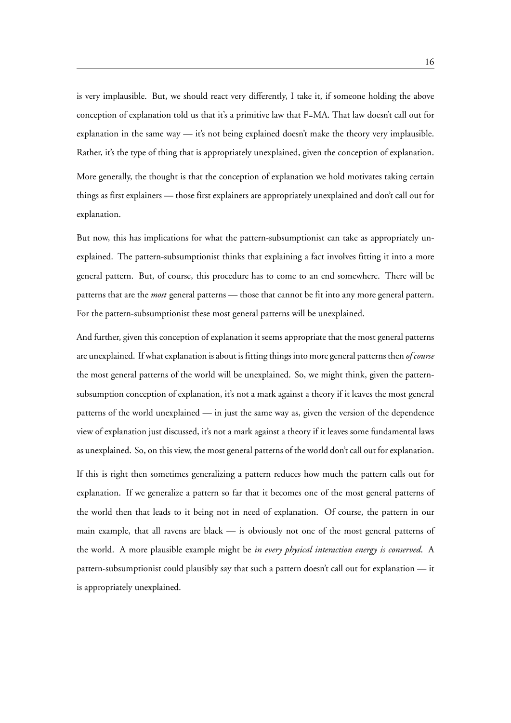is very implausible. But, we should react very differently, I take it, if someone holding the above conception of explanation told us that it's a primitive law that F=MA. That law doesn't call out for explanation in the same way — it's not being explained doesn't make the theory very implausible. Rather, it's the type of thing that is appropriately unexplained, given the conception of explanation.

More generally, the thought is that the conception of explanation we hold motivates taking certain things as first explainers — those first explainers are appropriately unexplained and don't call out for explanation.

But now, this has implications for what the pattern-subsumptionist can take as appropriately unexplained. The pattern-subsumptionist thinks that explaining a fact involves fitting it into a more general pattern. But, of course, this procedure has to come to an end somewhere. There will be patterns that are the *most* general patterns — those that cannot be fit into any more general pattern. For the pattern-subsumptionist these most general patterns will be unexplained.

And further, given this conception of explanation it seems appropriate that the most general patterns are unexplained. If what explanation is about is fitting things into more general patterns then *of course* the most general patterns of the world will be unexplained. So, we might think, given the patternsubsumption conception of explanation, it's not a mark against a theory if it leaves the most general patterns of the world unexplained — in just the same way as, given the version of the dependence view of explanation just discussed, it's not a mark against a theory if it leaves some fundamental laws as unexplained. So, on this view, the most general patterns of the world don't call out for explanation.

If this is right then sometimes generalizing a pattern reduces how much the pattern calls out for explanation. If we generalize a pattern so far that it becomes one of the most general patterns of the world then that leads to it being not in need of explanation. Of course, the pattern in our main example, that all ravens are black — is obviously not one of the most general patterns of the world. A more plausible example might be *in every physical interaction energy is conserved*. A pattern-subsumptionist could plausibly say that such a pattern doesn't call out for explanation — it is appropriately unexplained.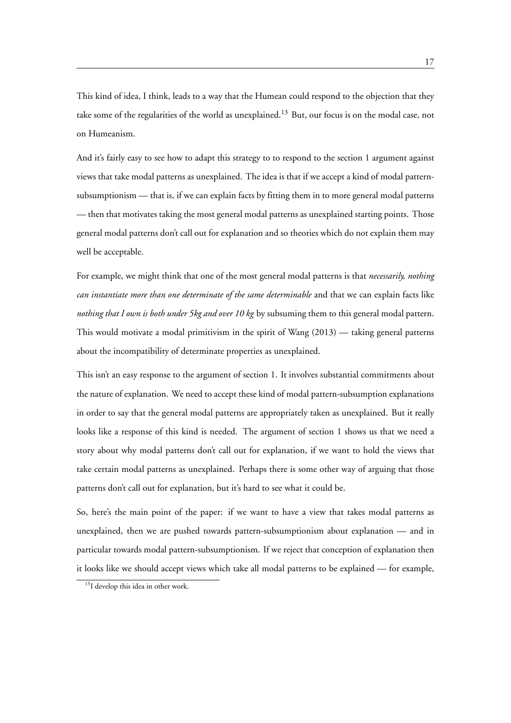This kind of idea, I think, leads to a way that the Humean could respond to the objection that they take some of the regularities of the world as unexplained.<sup>13</sup> But, our focus is on the modal case, not on Humeanism.

And it's fairly easy to see how to adapt this strategy to to respond to the section 1 argument against views that take modal patterns as unexplained. The idea is that if we accept a kind of modal patternsubsumptionism — that is, if we can explain facts by fitting them in to more general modal patterns — then that motivates taking the most general modal patterns as unexplained starting points. Those general modal patterns don't call out for explanation and so theories which do not explain them may well be acceptable.

For example, we might think that one of the most general modal patterns is that *necessarily, nothing can instantiate more than one determinate of the same determinable* and that we can explain facts like *nothing that I own is both under 5kg and over 10 kg* by subsuming them to this general modal pattern. This would motivate a modal primitivism in the spirit of Wang (2013) — taking general patterns about the incompatibility of determinate properties as unexplained.

This isn't an easy response to the argument of section 1. It involves substantial commitments about the nature of explanation. We need to accept these kind of modal pattern-subsumption explanations in order to say that the general modal patterns are appropriately taken as unexplained. But it really looks like a response of this kind is needed. The argument of section 1 shows us that we need a story about why modal patterns don't call out for explanation, if we want to hold the views that take certain modal patterns as unexplained. Perhaps there is some other way of arguing that those patterns don't call out for explanation, but it's hard to see what it could be.

So, here's the main point of the paper: if we want to have a view that takes modal patterns as unexplained, then we are pushed towards pattern-subsumptionism about explanation — and in particular towards modal pattern-subsumptionism. If we reject that conception of explanation then it looks like we should accept views which take all modal patterns to be explained — for example,

<sup>&</sup>lt;sup>13</sup>I develop this idea in other work.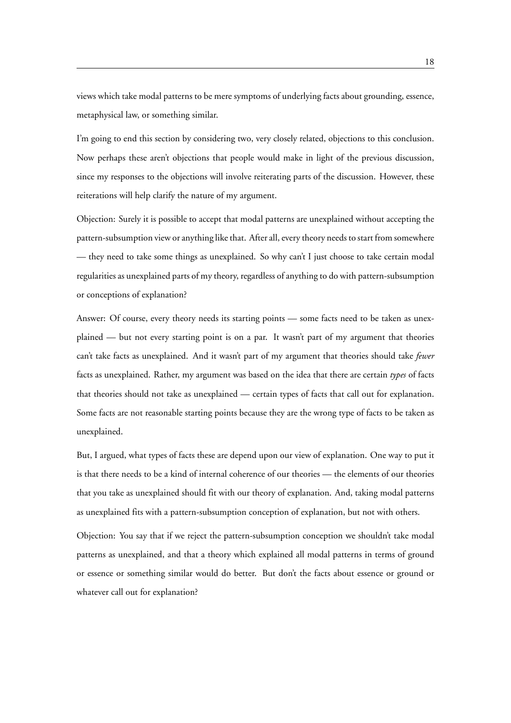views which take modal patterns to be mere symptoms of underlying facts about grounding, essence, metaphysical law, or something similar.

I'm going to end this section by considering two, very closely related, objections to this conclusion. Now perhaps these aren't objections that people would make in light of the previous discussion, since my responses to the objections will involve reiterating parts of the discussion. However, these reiterations will help clarify the nature of my argument.

Objection: Surely it is possible to accept that modal patterns are unexplained without accepting the pattern-subsumption view or anything like that. After all, every theory needs to start from somewhere — they need to take some things as unexplained. So why can't I just choose to take certain modal regularities as unexplained parts of my theory, regardless of anything to do with pattern-subsumption or conceptions of explanation?

Answer: Of course, every theory needs its starting points — some facts need to be taken as unexplained — but not every starting point is on a par. It wasn't part of my argument that theories can't take facts as unexplained. And it wasn't part of my argument that theories should take *fewer* facts as unexplained. Rather, my argument was based on the idea that there are certain *types* of facts that theories should not take as unexplained — certain types of facts that call out for explanation. Some facts are not reasonable starting points because they are the wrong type of facts to be taken as unexplained.

But, I argued, what types of facts these are depend upon our view of explanation. One way to put it is that there needs to be a kind of internal coherence of our theories — the elements of our theories that you take as unexplained should fit with our theory of explanation. And, taking modal patterns as unexplained fits with a pattern-subsumption conception of explanation, but not with others.

Objection: You say that if we reject the pattern-subsumption conception we shouldn't take modal patterns as unexplained, and that a theory which explained all modal patterns in terms of ground or essence or something similar would do better. But don't the facts about essence or ground or whatever call out for explanation?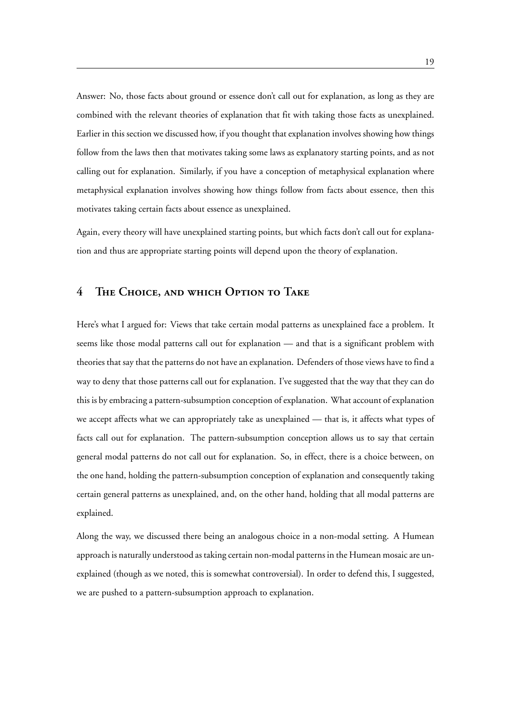Answer: No, those facts about ground or essence don't call out for explanation, as long as they are combined with the relevant theories of explanation that fit with taking those facts as unexplained. Earlier in this section we discussed how, if you thought that explanation involves showing how things follow from the laws then that motivates taking some laws as explanatory starting points, and as not calling out for explanation. Similarly, if you have a conception of metaphysical explanation where metaphysical explanation involves showing how things follow from facts about essence, then this motivates taking certain facts about essence as unexplained.

Again, every theory will have unexplained starting points, but which facts don't call out for explanation and thus are appropriate starting points will depend upon the theory of explanation.

# **4 The Choice, and which Option to Take**

Here's what I argued for: Views that take certain modal patterns as unexplained face a problem. It seems like those modal patterns call out for explanation — and that is a significant problem with theories that say that the patterns do not have an explanation. Defenders of those views have to find a way to deny that those patterns call out for explanation. I've suggested that the way that they can do this is by embracing a pattern-subsumption conception of explanation. What account of explanation we accept affects what we can appropriately take as unexplained — that is, it affects what types of facts call out for explanation. The pattern-subsumption conception allows us to say that certain general modal patterns do not call out for explanation. So, in effect, there is a choice between, on the one hand, holding the pattern-subsumption conception of explanation and consequently taking certain general patterns as unexplained, and, on the other hand, holding that all modal patterns are explained.

Along the way, we discussed there being an analogous choice in a non-modal setting. A Humean approach is naturally understood as taking certain non-modal patterns in the Humean mosaic are unexplained (though as we noted, this is somewhat controversial). In order to defend this, I suggested, we are pushed to a pattern-subsumption approach to explanation.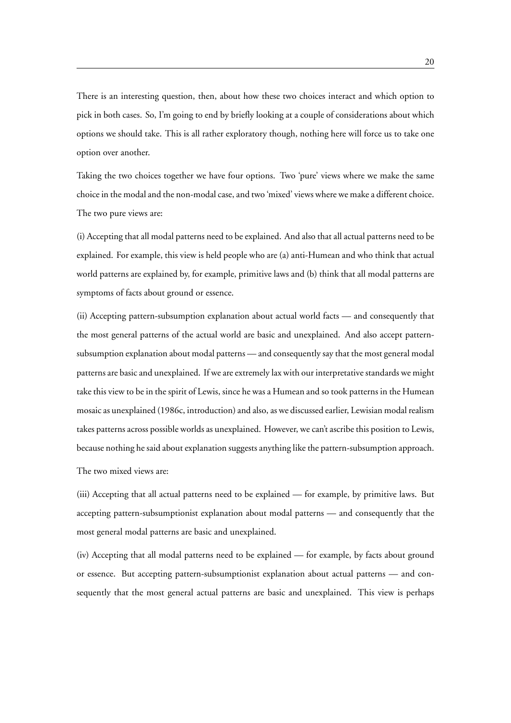There is an interesting question, then, about how these two choices interact and which option to pick in both cases. So, I'm going to end by briefly looking at a couple of considerations about which options we should take. This is all rather exploratory though, nothing here will force us to take one option over another.

Taking the two choices together we have four options. Two 'pure' views where we make the same choice in the modal and the non-modal case, and two 'mixed' views where we make a different choice. The two pure views are:

(i) Accepting that all modal patterns need to be explained. And also that all actual patterns need to be explained. For example, this view is held people who are (a) anti-Humean and who think that actual world patterns are explained by, for example, primitive laws and (b) think that all modal patterns are symptoms of facts about ground or essence.

(ii) Accepting pattern-subsumption explanation about actual world facts — and consequently that the most general patterns of the actual world are basic and unexplained. And also accept patternsubsumption explanation about modal patterns — and consequently say that the most general modal patterns are basic and unexplained. If we are extremely lax with our interpretative standards we might take this view to be in the spirit of Lewis, since he was a Humean and so took patterns in the Humean mosaic as unexplained (1986c, introduction) and also, as we discussed earlier, Lewisian modal realism takes patterns across possible worlds as unexplained. However, we can't ascribe this position to Lewis, because nothing he said about explanation suggests anything like the pattern-subsumption approach.

The two mixed views are:

(iii) Accepting that all actual patterns need to be explained — for example, by primitive laws. But accepting pattern-subsumptionist explanation about modal patterns — and consequently that the most general modal patterns are basic and unexplained.

(iv) Accepting that all modal patterns need to be explained — for example, by facts about ground or essence. But accepting pattern-subsumptionist explanation about actual patterns — and consequently that the most general actual patterns are basic and unexplained. This view is perhaps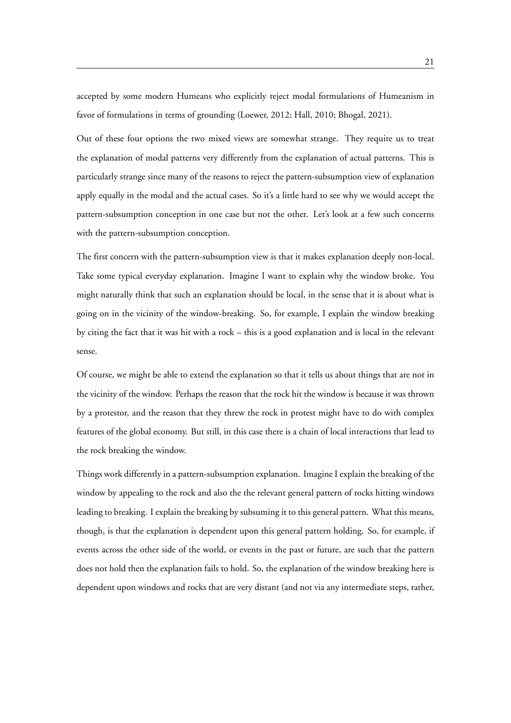accepted by some modern Humeans who explicitly reject modal formulations of Humeanism in favor of formulations in terms of grounding (Loewer, 2012; Hall, 2010; Bhogal, 2021).

Out of these four options the two mixed views are somewhat strange. They require us to treat the explanation of modal patterns very differently from the explanation of actual patterns. This is particularly strange since many of the reasons to reject the pattern-subsumption view of explanation apply equally in the modal and the actual cases. So it's a little hard to see why we would accept the pattern-subsumption conception in one case but not the other. Let's look at a few such concerns with the pattern-subsumption conception.

The first concern with the pattern-subsumption view is that it makes explanation deeply non-local. Take some typical everyday explanation. Imagine I want to explain why the window broke. You might naturally think that such an explanation should be local, in the sense that it is about what is going on in the vicinity of the window-breaking. So, for example, I explain the window breaking by citing the fact that it was hit with a rock – this is a good explanation and is local in the relevant sense.

Of course, we might be able to extend the explanation so that it tells us about things that are not in the vicinity of the window. Perhaps the reason that the rock hit the window is because it was thrown by a protestor, and the reason that they threw the rock in protest might have to do with complex features of the global economy. But still, in this case there is a chain of local interactions that lead to the rock breaking the window.

Things work differently in a pattern-subsumption explanation. Imagine I explain the breaking of the window by appealing to the rock and also the the relevant general pattern of rocks hitting windows leading to breaking. I explain the breaking by subsuming it to this general pattern. What this means, though, is that the explanation is dependent upon this general pattern holding. So, for example, if events across the other side of the world, or events in the past or future, are such that the pattern does not hold then the explanation fails to hold. So, the explanation of the window breaking here is dependent upon windows and rocks that are very distant (and not via any intermediate steps, rather,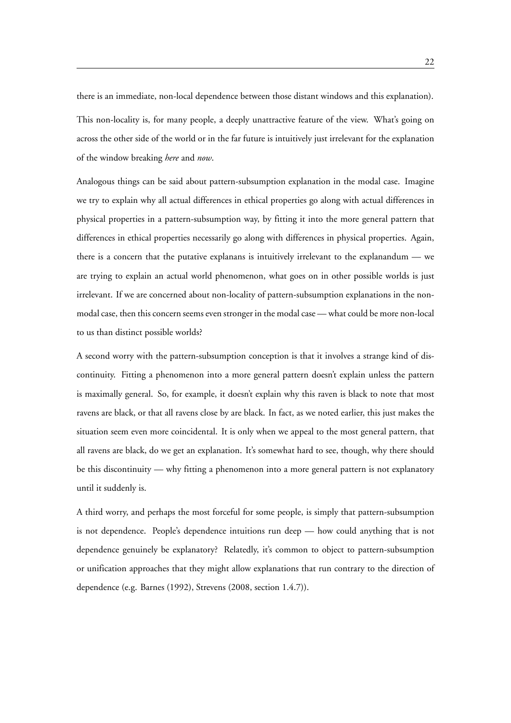there is an immediate, non-local dependence between those distant windows and this explanation). This non-locality is, for many people, a deeply unattractive feature of the view. What's going on across the other side of the world or in the far future is intuitively just irrelevant for the explanation of the window breaking *here* and *now*.

Analogous things can be said about pattern-subsumption explanation in the modal case. Imagine we try to explain why all actual differences in ethical properties go along with actual differences in physical properties in a pattern-subsumption way, by fitting it into the more general pattern that differences in ethical properties necessarily go along with differences in physical properties. Again, there is a concern that the putative explanans is intuitively irrelevant to the explanandum — we are trying to explain an actual world phenomenon, what goes on in other possible worlds is just irrelevant. If we are concerned about non-locality of pattern-subsumption explanations in the nonmodal case, then this concern seems even stronger in the modal case — what could be more non-local to us than distinct possible worlds?

A second worry with the pattern-subsumption conception is that it involves a strange kind of discontinuity. Fitting a phenomenon into a more general pattern doesn't explain unless the pattern is maximally general. So, for example, it doesn't explain why this raven is black to note that most ravens are black, or that all ravens close by are black. In fact, as we noted earlier, this just makes the situation seem even more coincidental. It is only when we appeal to the most general pattern, that all ravens are black, do we get an explanation. It's somewhat hard to see, though, why there should be this discontinuity — why fitting a phenomenon into a more general pattern is not explanatory until it suddenly is.

A third worry, and perhaps the most forceful for some people, is simply that pattern-subsumption is not dependence. People's dependence intuitions run deep — how could anything that is not dependence genuinely be explanatory? Relatedly, it's common to object to pattern-subsumption or unification approaches that they might allow explanations that run contrary to the direction of dependence (e.g. Barnes (1992), Strevens (2008, section 1.4.7)).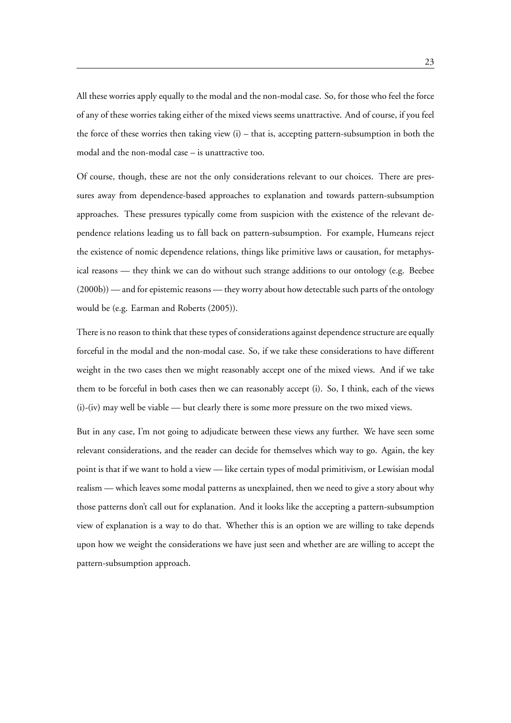All these worries apply equally to the modal and the non-modal case. So, for those who feel the force of any of these worries taking either of the mixed views seems unattractive. And of course, if you feel the force of these worries then taking view  $(i)$  – that is, accepting pattern-subsumption in both the modal and the non-modal case – is unattractive too.

Of course, though, these are not the only considerations relevant to our choices. There are pressures away from dependence-based approaches to explanation and towards pattern-subsumption approaches. These pressures typically come from suspicion with the existence of the relevant dependence relations leading us to fall back on pattern-subsumption. For example, Humeans reject the existence of nomic dependence relations, things like primitive laws or causation, for metaphysical reasons — they think we can do without such strange additions to our ontology (e.g. Beebee (2000b)) — and for epistemic reasons — they worry about how detectable such parts of the ontology would be (e.g. Earman and Roberts (2005)).

There is no reason to think that these types of considerations against dependence structure are equally forceful in the modal and the non-modal case. So, if we take these considerations to have different weight in the two cases then we might reasonably accept one of the mixed views. And if we take them to be forceful in both cases then we can reasonably accept (i). So, I think, each of the views (i)-(iv) may well be viable — but clearly there is some more pressure on the two mixed views.

But in any case, I'm not going to adjudicate between these views any further. We have seen some relevant considerations, and the reader can decide for themselves which way to go. Again, the key point is that if we want to hold a view — like certain types of modal primitivism, or Lewisian modal realism — which leaves some modal patterns as unexplained, then we need to give a story about why those patterns don't call out for explanation. And it looks like the accepting a pattern-subsumption view of explanation is a way to do that. Whether this is an option we are willing to take depends upon how we weight the considerations we have just seen and whether are are willing to accept the pattern-subsumption approach.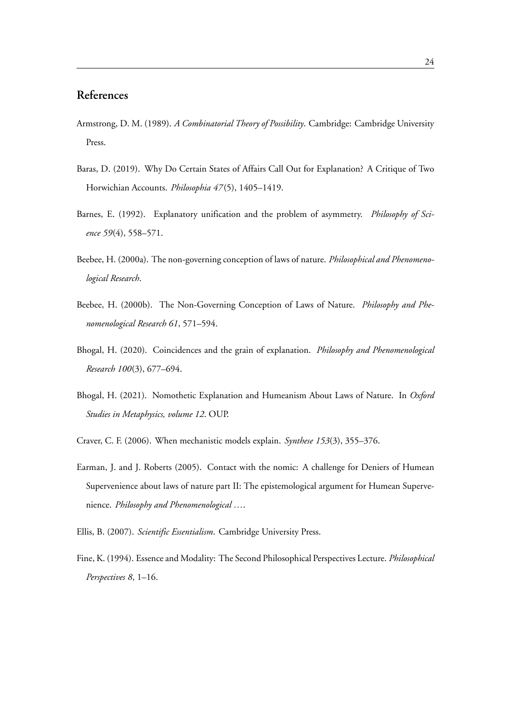# **References**

- Armstrong, D. M. (1989). *A Combinatorial Theory of Possibility*. Cambridge: Cambridge University Press.
- Baras, D. (2019). Why Do Certain States of Affairs Call Out for Explanation? A Critique of Two Horwichian Accounts. *Philosophia 47*(5), 1405–1419.
- Barnes, E. (1992). Explanatory unification and the problem of asymmetry. *Philosophy of Science 59*(4), 558–571.
- Beebee, H. (2000a). The non-governing conception of laws of nature. *Philosophical and Phenomenological Research*.
- Beebee, H. (2000b). The Non-Governing Conception of Laws of Nature. *Philosophy and Phenomenological Research 61*, 571–594.
- Bhogal, H. (2020). Coincidences and the grain of explanation. *Philosophy and Phenomenological Research 100*(3), 677–694.
- Bhogal, H. (2021). Nomothetic Explanation and Humeanism About Laws of Nature. In *Oxford Studies in Metaphysics, volume 12*. OUP.
- Craver, C. F. (2006). When mechanistic models explain. *Synthese 153*(3), 355–376.
- Earman, J. and J. Roberts (2005). Contact with the nomic: A challenge for Deniers of Humean Supervenience about laws of nature part II: The epistemological argument for Humean Supervenience. *Philosophy and Phenomenological …*.
- Ellis, B. (2007). *Scientific Essentialism*. Cambridge University Press.
- Fine, K. (1994). Essence and Modality: The Second Philosophical Perspectives Lecture. *Philosophical Perspectives 8*, 1–16.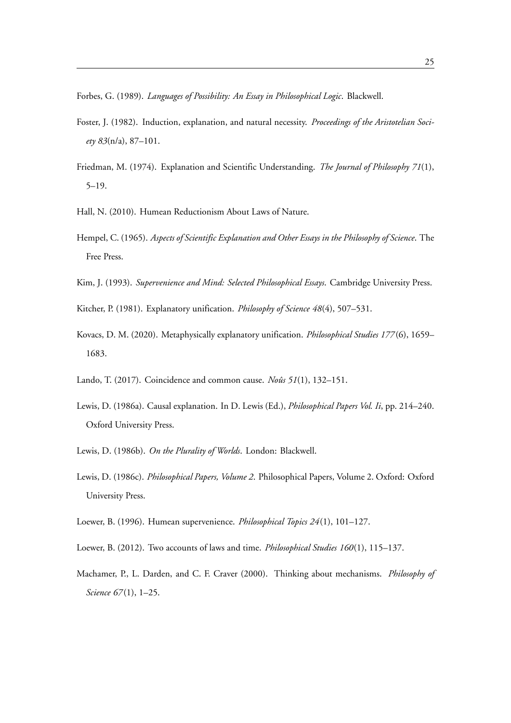Forbes, G. (1989). *Languages of Possibility: An Essay in Philosophical Logic*. Blackwell.

- Foster, J. (1982). Induction, explanation, and natural necessity. *Proceedings of the Aristotelian Society 83*(n/a), 87–101.
- Friedman, M. (1974). Explanation and Scientific Understanding. *The Journal of Philosophy 71*(1), 5–19.
- Hall, N. (2010). Humean Reductionism About Laws of Nature.
- Hempel, C. (1965). *Aspects of Scientific Explanation and Other Essays in the Philosophy of Science*. The Free Press.
- Kim, J. (1993). *Supervenience and Mind: Selected Philosophical Essays*. Cambridge University Press.
- Kitcher, P. (1981). Explanatory unification. *Philosophy of Science 48*(4), 507–531.
- Kovacs, D. M. (2020). Metaphysically explanatory unification. *Philosophical Studies 177*(6), 1659– 1683.
- Lando, T. (2017). Coincidence and common cause. *Noûs 51*(1), 132–151.
- Lewis, D. (1986a). Causal explanation. In D. Lewis (Ed.), *Philosophical Papers Vol. Ii*, pp. 214–240. Oxford University Press.
- Lewis, D. (1986b). *On the Plurality of Worlds*. London: Blackwell.
- Lewis, D. (1986c). *Philosophical Papers, Volume 2*. Philosophical Papers, Volume 2. Oxford: Oxford University Press.
- Loewer, B. (1996). Humean supervenience. *Philosophical Topics 24*(1), 101–127.
- Loewer, B. (2012). Two accounts of laws and time. *Philosophical Studies 160*(1), 115–137.
- Machamer, P., L. Darden, and C. F. Craver (2000). Thinking about mechanisms. *Philosophy of Science 67*(1), 1–25.